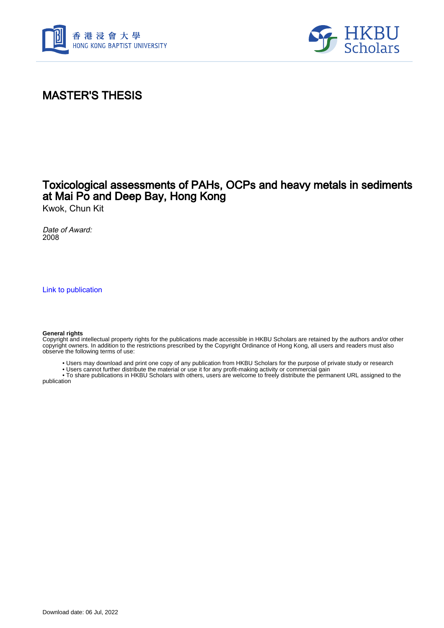



### MASTER'S THESIS

### Toxicological assessments of PAHs, OCPs and heavy metals in sediments at Mai Po and Deep Bay, Hong Kong

Kwok, Chun Kit

Date of Award: 2008

[Link to publication](https://scholars.hkbu.edu.hk/en/studentTheses/d1dc1672-2867-4e24-870e-eb52c86ec44f)

#### **General rights**

Copyright and intellectual property rights for the publications made accessible in HKBU Scholars are retained by the authors and/or other copyright owners. In addition to the restrictions prescribed by the Copyright Ordinance of Hong Kong, all users and readers must also observe the following terms of use:

- Users may download and print one copy of any publication from HKBU Scholars for the purpose of private study or research
- Users cannot further distribute the material or use it for any profit-making activity or commercial gain

 • To share publications in HKBU Scholars with others, users are welcome to freely distribute the permanent URL assigned to the publication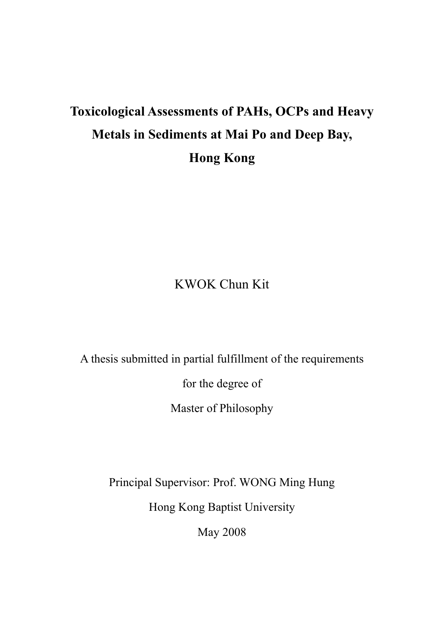# **Toxicological Assessments of PAHs, OCPs and Heavy Metals in Sediments at Mai Po and Deep Bay, Hong Kong**

## KWOK Chun Kit

A thesis submitted in partial fulfillment of the requirements

for the degree of

Master of Philosophy

Principal Supervisor: Prof. WONG Ming Hung

Hong Kong Baptist University

May 2008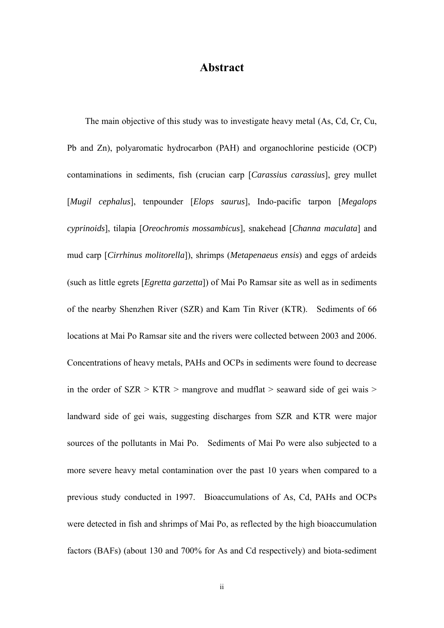### **Abstract**

The main objective of this study was to investigate heavy metal (As, Cd, Cr, Cu, Pb and Zn), polyaromatic hydrocarbon (PAH) and organochlorine pesticide (OCP) contaminations in sediments, fish (crucian carp [*Carassius carassius*], grey mullet [*Mugil cephalus*], tenpounder [*Elops saurus*], Indo-pacific tarpon [*Megalops cyprinoids*], tilapia [*Oreochromis mossambicus*], snakehead [*Channa maculata*] and mud carp [*Cirrhinus molitorella*]), shrimps (*Metapenaeus ensis*) and eggs of ardeids (such as little egrets [*Egretta garzetta*]) of Mai Po Ramsar site as well as in sediments of the nearby Shenzhen River (SZR) and Kam Tin River (KTR). Sediments of 66 locations at Mai Po Ramsar site and the rivers were collected between 2003 and 2006. Concentrations of heavy metals, PAHs and OCPs in sediments were found to decrease in the order of  $SZR > KTR >$  mangrove and mudflat  $>$  seaward side of gei wais  $>$ landward side of gei wais, suggesting discharges from SZR and KTR were major sources of the pollutants in Mai Po. Sediments of Mai Po were also subjected to a more severe heavy metal contamination over the past 10 years when compared to a previous study conducted in 1997. Bioaccumulations of As, Cd, PAHs and OCPs were detected in fish and shrimps of Mai Po, as reflected by the high bioaccumulation factors (BAFs) (about 130 and 700% for As and Cd respectively) and biota-sediment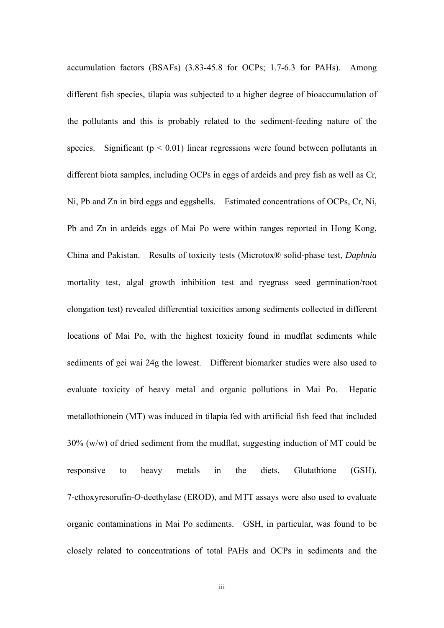accumulation factors (BSAFs) (3.83-45.8 for OCPs; 1.7-6.3 for PAHs). Among different fish species, tilapia was subjected to a higher degree of bioaccumulation of the pollutants and this is probably related to the sediment-feeding nature of the species. Significant ( $p < 0.01$ ) linear regressions were found between pollutants in different biota samples, including OCPs in eggs of ardeids and prey fish as well as Cr, Ni, Pb and Zn in bird eggs and eggshells. Estimated concentrations of OCPs, Cr, Ni, Pb and Zn in ardeids eggs of Mai Po were within ranges reported in Hong Kong, China and Pakistan. Results of toxicity tests (Microtox® solid-phase test, *Daphnia* mortality test, algal growth inhibition test and ryegrass seed germination/root elongation test) revealed differential toxicities among sediments collected in different locations of Mai Po, with the highest toxicity found in mudflat sediments while sediments of gei wai 24g the lowest. Different biomarker studies were also used to evaluate toxicity of heavy metal and organic pollutions in Mai Po. Hepatic metallothionein (MT) was induced in tilapia fed with artificial fish feed that included 30% (w/w) of dried sediment from the mudflat, suggesting induction of MT could be responsive to heavy metals in the diets. Glutathione (GSH), 7-ethoxyresorufin-*O*-deethylase (EROD), and MTT assays were also used to evaluate organic contaminations in Mai Po sediments. GSH, in particular, was found to be closely related to concentrations of total PAHs and OCPs in sediments and the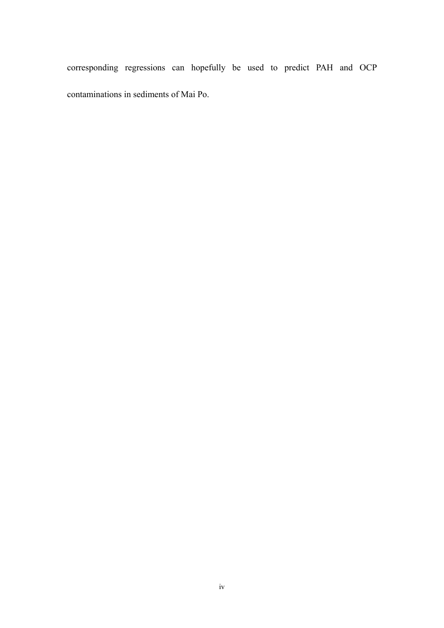corresponding regressions can hopefully be used to predict PAH and OCP contaminations in sediments of Mai Po.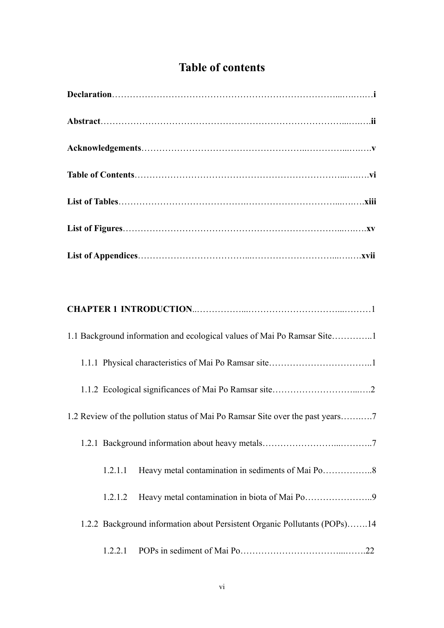### **Table of contents**

| Heavy metal contamination in biota of Mai Po9<br>1.2.1.2                  |
|---------------------------------------------------------------------------|
| 1.2.2 Background information about Persistent Organic Pollutants (POPs)14 |
|                                                                           |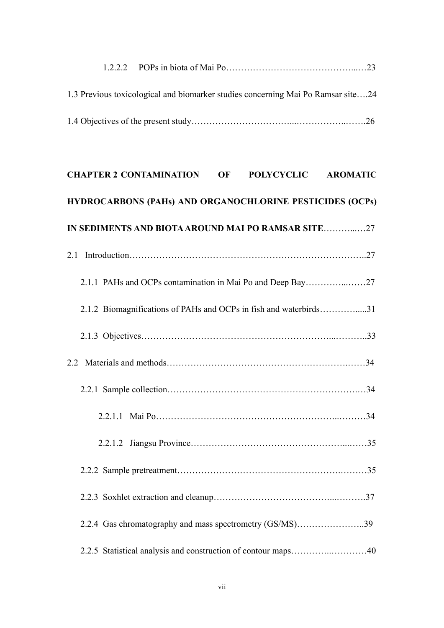| 1.3 Previous toxicological and biomarker studies concerning Mai Po Ramsar site24 |  |
|----------------------------------------------------------------------------------|--|
|                                                                                  |  |

| POLYCYCLIC AROMATIC<br><b>CHAPTER 2 CONTAMINATION</b><br><b>OF</b> |  |
|--------------------------------------------------------------------|--|
| HYDROCARBONS (PAHs) AND ORGANOCHLORINE PESTICIDES (OCPs)           |  |
| IN SEDIMENTS AND BIOTA AROUND MAI PO RAMSAR SITE27                 |  |
| 2.1                                                                |  |
|                                                                    |  |
| 2.1.2 Biomagnifications of PAHs and OCPs in fish and waterbirds31  |  |
|                                                                    |  |
| 2.2                                                                |  |
|                                                                    |  |
|                                                                    |  |
|                                                                    |  |
|                                                                    |  |
|                                                                    |  |
| 2.2.4 Gas chromatography and mass spectrometry (GS/MS)39           |  |
|                                                                    |  |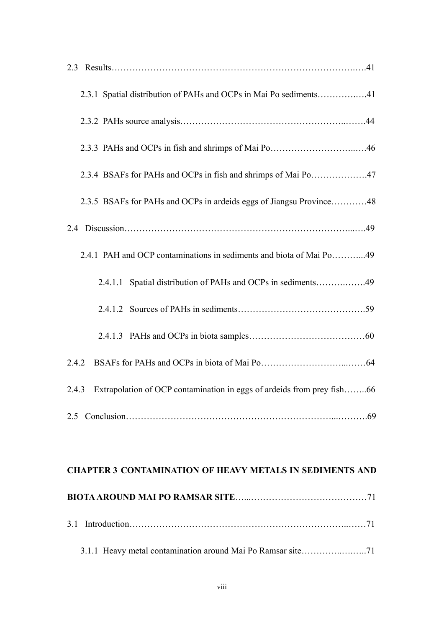| 2.3.1 Spatial distribution of PAHs and OCPs in Mai Po sediments41               |
|---------------------------------------------------------------------------------|
|                                                                                 |
|                                                                                 |
| 2.3.4 BSAFs for PAHs and OCPs in fish and shrimps of Mai Po47                   |
| 2.3.5 BSAFs for PAHs and OCPs in ardeids eggs of Jiangsu Province48             |
|                                                                                 |
| 2.4.1 PAH and OCP contaminations in sediments and biota of Mai Po49             |
| 2.4.1.1 Spatial distribution of PAHs and OCPs in sediments49                    |
|                                                                                 |
|                                                                                 |
| 2.4.2                                                                           |
| Extrapolation of OCP contamination in eggs of ardeids from prey fish66<br>2.4.3 |
|                                                                                 |

| <b>CHAPTER 3 CONTAMINATION OF HEAVY METALS IN SEDIMENTS AND</b> |
|-----------------------------------------------------------------|
|                                                                 |
|                                                                 |
|                                                                 |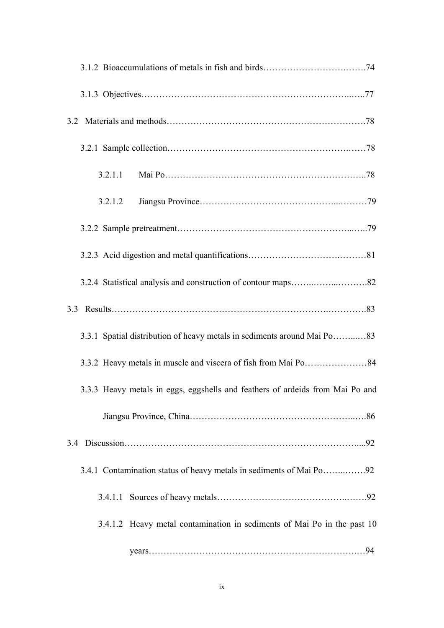| 3.2.1.2                                                                       |
|-------------------------------------------------------------------------------|
|                                                                               |
|                                                                               |
|                                                                               |
|                                                                               |
| 3.3.1 Spatial distribution of heavy metals in sediments around Mai Po83       |
|                                                                               |
| 3.3.3 Heavy metals in eggs, eggshells and feathers of ardeids from Mai Po and |
|                                                                               |
|                                                                               |
|                                                                               |
| 3.4.1.1                                                                       |
| 3.4.1.2 Heavy metal contamination in sediments of Mai Po in the past 10       |
|                                                                               |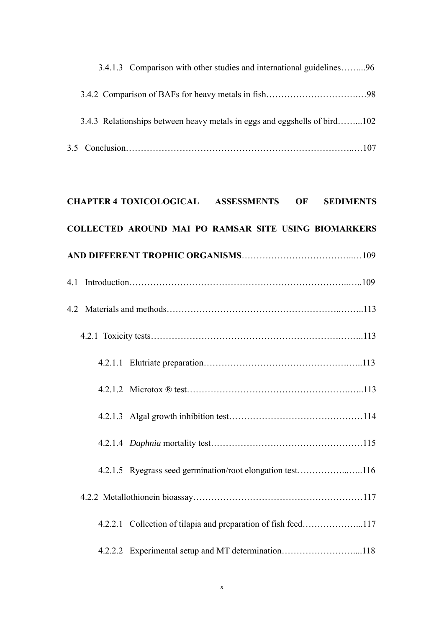| 3.4.1.3 Comparison with other studies and international guidelines96 |                                                                           |  |  |  |
|----------------------------------------------------------------------|---------------------------------------------------------------------------|--|--|--|
|                                                                      |                                                                           |  |  |  |
|                                                                      | 3.4.3 Relationships between heavy metals in eggs and eggshells of bird102 |  |  |  |
|                                                                      |                                                                           |  |  |  |
|                                                                      |                                                                           |  |  |  |
|                                                                      | <b>CHAPTER 4 TOXICOLOGICAL ASSESSMENTS OF</b><br><b>SEDIMENTS</b>         |  |  |  |
|                                                                      | COLLECTED AROUND MAI PO RAMSAR SITE USING BIOMARKERS                      |  |  |  |
|                                                                      |                                                                           |  |  |  |
|                                                                      |                                                                           |  |  |  |
|                                                                      |                                                                           |  |  |  |
|                                                                      |                                                                           |  |  |  |
|                                                                      |                                                                           |  |  |  |
|                                                                      |                                                                           |  |  |  |
|                                                                      |                                                                           |  |  |  |
|                                                                      |                                                                           |  |  |  |
|                                                                      | 4.2.1.5 Ryegrass seed germination/root elongation test116                 |  |  |  |
|                                                                      |                                                                           |  |  |  |
|                                                                      |                                                                           |  |  |  |
|                                                                      | 4.2.2.2 Experimental setup and MT determination118                        |  |  |  |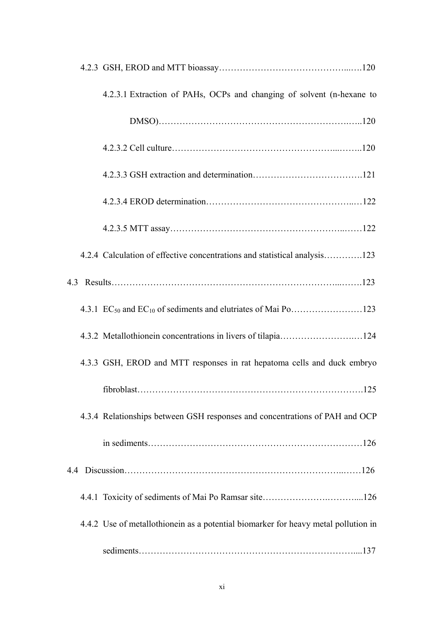| 4.2.3.1 Extraction of PAHs, OCPs and changing of solvent (n-hexane to              |
|------------------------------------------------------------------------------------|
|                                                                                    |
|                                                                                    |
|                                                                                    |
|                                                                                    |
|                                                                                    |
| 4.2.4 Calculation of effective concentrations and statistical analysis123          |
|                                                                                    |
|                                                                                    |
|                                                                                    |
| 4.3.3 GSH, EROD and MTT responses in rat hepatoma cells and duck embryo            |
|                                                                                    |
| 4.3.4 Relationships between GSH responses and concentrations of PAH and OCP        |
|                                                                                    |
|                                                                                    |
|                                                                                    |
| 4.4.2 Use of metallothionein as a potential biomarker for heavy metal pollution in |
|                                                                                    |